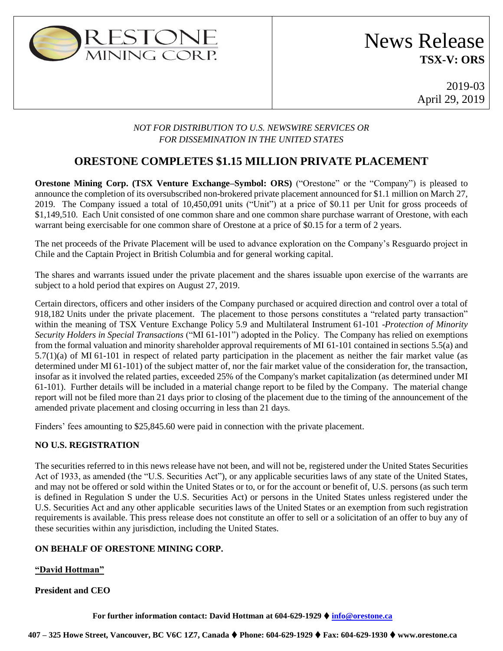

# News Release **TSX-V: ORS**

2019-03 April 29, 2019

### *NOT FOR DISTRIBUTION TO U.S. NEWSWIRE SERVICES OR FOR DISSEMINATION IN THE UNITED STATES*

## **ORESTONE COMPLETES \$1.15 MILLION PRIVATE PLACEMENT**

**Orestone Mining Corp. (TSX Venture Exchange–Symbol: ORS)** ("Orestone" or the "Company") is pleased to announce the completion of its oversubscribed non-brokered private placement announced for \$1.1 million on March 27, 2019. The Company issued a total of 10,450,091 units ("Unit") at a price of \$0.11 per Unit for gross proceeds of \$1,149,510. Each Unit consisted of one common share and one common share purchase warrant of Orestone, with each warrant being exercisable for one common share of Orestone at a price of \$0.15 for a term of 2 years.

The net proceeds of the Private Placement will be used to advance exploration on the Company's Resguardo project in Chile and the Captain Project in British Columbia and for general working capital.

The shares and warrants issued under the private placement and the shares issuable upon exercise of the warrants are subject to a hold period that expires on August 27, 2019.

Certain directors, officers and other insiders of the Company purchased or acquired direction and control over a total of 918,182 Units under the private placement. The placement to those persons constitutes a "related party transaction" within the meaning of TSX Venture Exchange Policy 5.9 and Multilateral Instrument 61-101 -*Protection of Minority Security Holders in Special Transactions* ("MI 61-101") adopted in the Policy. The Company has relied on exemptions from the formal valuation and minority shareholder approval requirements of MI 61-101 contained in sections 5.5(a) and 5.7(1)(a) of MI 61-101 in respect of related party participation in the placement as neither the fair market value (as determined under MI 61-101) of the subject matter of, nor the fair market value of the consideration for, the transaction, insofar as it involved the related parties, exceeded 25% of the Company's market capitalization (as determined under MI 61-101). Further details will be included in a material change report to be filed by the Company. The material change report will not be filed more than 21 days prior to closing of the placement due to the timing of the announcement of the amended private placement and closing occurring in less than 21 days.

Finders' fees amounting to \$25,845.60 were paid in connection with the private placement.

### **NO U.S. REGISTRATION**

The securities referred to in this news release have not been, and will not be, registered under the United States Securities Act of 1933, as amended (the "U.S. Securities Act"), or any applicable securities laws of any state of the United States, and may not be offered or sold within the United States or to, or for the account or benefit of, U.S. persons (as such term is defined in Regulation S under the U.S. Securities Act) or persons in the United States unless registered under the U.S. Securities Act and any other applicable securities laws of the United States or an exemption from such registration requirements is available. This press release does not constitute an offer to sell or a solicitation of an offer to buy any of these securities within any jurisdiction, including the United States.

### **ON BEHALF OF ORESTONE MINING CORP.**

#### **"David Hottman"**

#### **President and CEO**

**For further information contact: David Hottman at 604-629-1929** ⧫ **[info@orestone.ca](mailto:info@orestone.ca)**